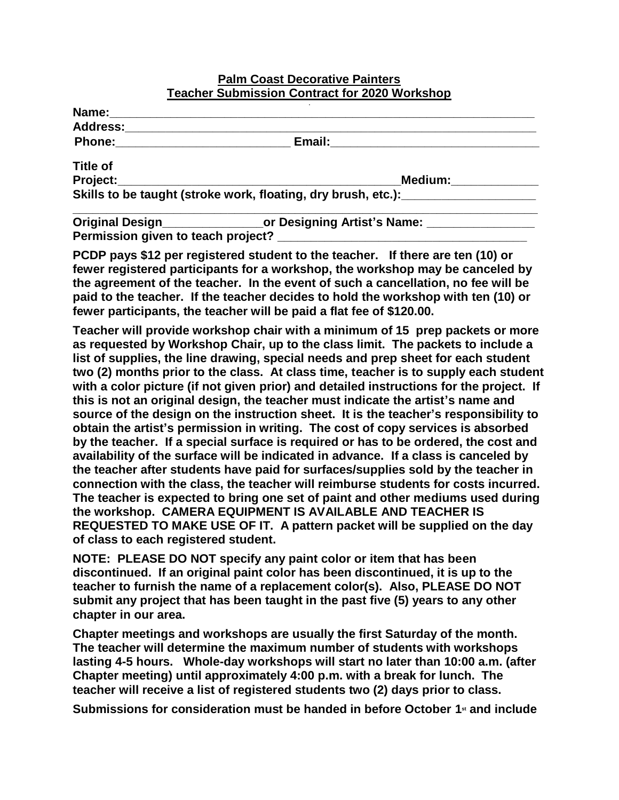## **Palm Coast Decorative Painters Teacher Submission Contract for 2020 Workshop**

| <b>Address:</b>                    |                                                                                  |
|------------------------------------|----------------------------------------------------------------------------------|
| <b>Phone:</b>                      | Email:                                                                           |
| <b>Title of</b>                    |                                                                                  |
| Project:                           | Medium:                                                                          |
|                                    | Skills to be taught (stroke work, floating, dry brush, etc.):                    |
|                                    | Original Design______________________or Designing Artist's Name: _______________ |
| Permission given to teach project? |                                                                                  |

**PCDP pays \$12 per registered student to the teacher. If there are ten (10) or fewer registered participants for a workshop, the workshop may be canceled by the agreement of the teacher. In the event of such a cancellation, no fee will be paid to the teacher. If the teacher decides to hold the workshop with ten (10) or fewer participants, the teacher will be paid a flat fee of \$120.00.** 

**Teacher will provide workshop chair with a minimum of 15 prep packets or more as requested by Workshop Chair, up to the class limit. The packets to include a list of supplies, the line drawing, special needs and prep sheet for each student two (2) months prior to the class. At class time, teacher is to supply each student with a color picture (if not given prior) and detailed instructions for the project. If this is not an original design, the teacher must indicate the artist's name and source of the design on the instruction sheet. It is the teacher's responsibility to obtain the artist's permission in writing. The cost of copy services is absorbed by the teacher. If a special surface is required or has to be ordered, the cost and availability of the surface will be indicated in advance. If a class is canceled by the teacher after students have paid for surfaces/supplies sold by the teacher in connection with the class, the teacher will reimburse students for costs incurred. The teacher is expected to bring one set of paint and other mediums used during the workshop. CAMERA EQUIPMENT IS AVAILABLE AND TEACHER IS REQUESTED TO MAKE USE OF IT. A pattern packet will be supplied on the day of class to each registered student.**

**NOTE: PLEASE DO NOT specify any paint color or item that has been discontinued. If an original paint color has been discontinued, it is up to the teacher to furnish the name of a replacement color(s). Also, PLEASE DO NOT submit any project that has been taught in the past five (5) years to any other chapter in our area.**

**Chapter meetings and workshops are usually the first Saturday of the month. The teacher will determine the maximum number of students with workshops lasting 4-5 hours. Whole-day workshops will start no later than 10:00 a.m. (after Chapter meeting) until approximately 4:00 p.m. with a break for lunch. The teacher will receive a list of registered students two (2) days prior to class.**

**Submissions for consideration must be handed in before October 1st and include**